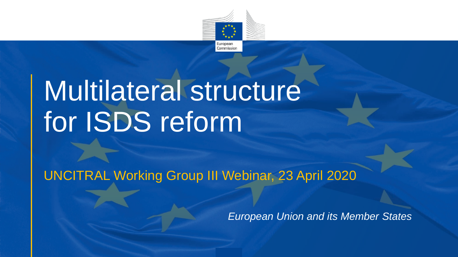

## Multilateral structure for ISDS reform

UNCITRAL Working Group III Webinar, 23 April 2020

*European Union and its Member States*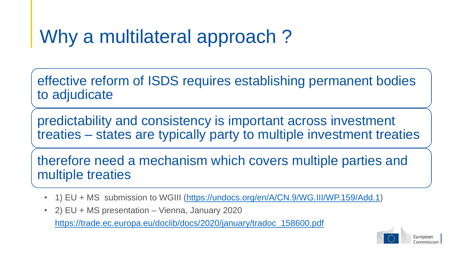## Why a multilateral approach?

effective reform of ISDS requires establishing permanent bodies to adjudicate

predictability and consistency is important across investment treaties – states are typically party to multiple investment treaties

therefore need a mechanism which covers multiple parties and multiple treaties

- 1) EU + MS submission to WGIII ([https://undocs.org/en/A/CN.9/WG.III/WP.159/Add.1\)](https://undocs.org/en/A/CN.9/WG.III/WP.159/Add.1)
- 2) EU + MS presentation Vienna, January 2020

[https://trade.ec.europa.eu/doclib/docs/2020/january/tradoc\\_158600.pdf](https://trade.ec.europa.eu/doclib/docs/2020/january/tradoc_158600.pdf)

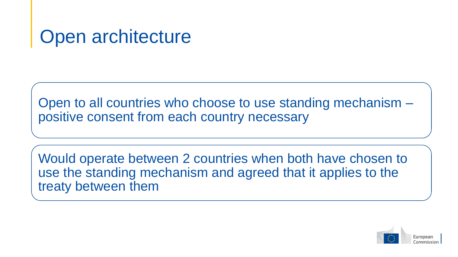Open to all countries who choose to use standing mechanism – positive consent from each country necessary

Would operate between 2 countries when both have chosen to use the standing mechanism and agreed that it applies to the treaty between them

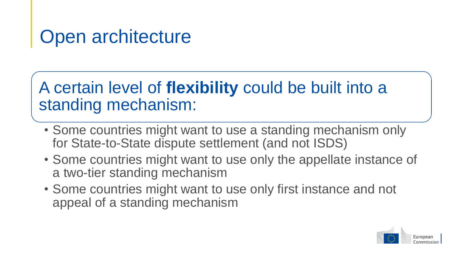#### A certain level of **flexibility** could be built into a standing mechanism:

- Some countries might want to use a standing mechanism only for State-to-State dispute settlement (and not ISDS)
- Some countries might want to use only the appellate instance of a two-tier standing mechanism
- Some countries might want to use only first instance and not appeal of a standing mechanism

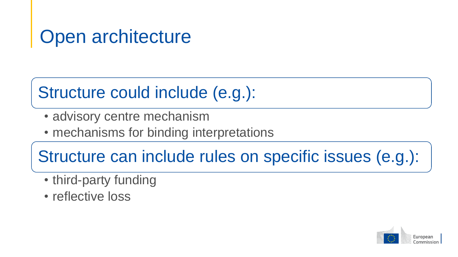#### Structure could include (e.g.):

- advisory centre mechanism
- mechanisms for binding interpretations

Structure can include rules on specific issues (e.g.):

- third-party funding
- reflective loss

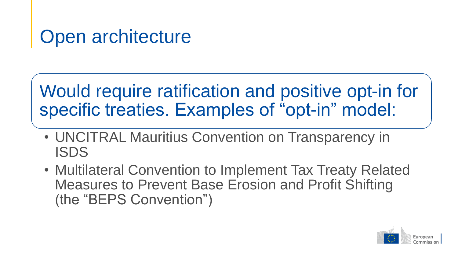#### Would require ratification and positive opt-in for specific treaties. Examples of "opt-in" model:

- UNCITRAL Mauritius Convention on Transparency in ISDS
- Multilateral Convention to Implement Tax Treaty Related Measures to Prevent Base Erosion and Profit Shifting (the "BEPS Convention")

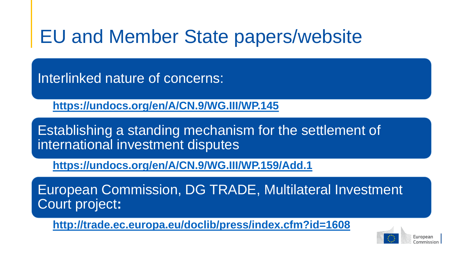## EU and Member State papers/website

Interlinked nature of concerns:

• **<https://undocs.org/en/A/CN.9/WG.III/WP.145>**

Establishing a standing mechanism for the settlement of international investment disputes

• **<https://undocs.org/en/A/CN.9/WG.III/WP.159/Add.1>**

European Commission, DG TRADE, Multilateral Investment Court project**:**

• **<http://trade.ec.europa.eu/doclib/press/index.cfm?id=1608>**